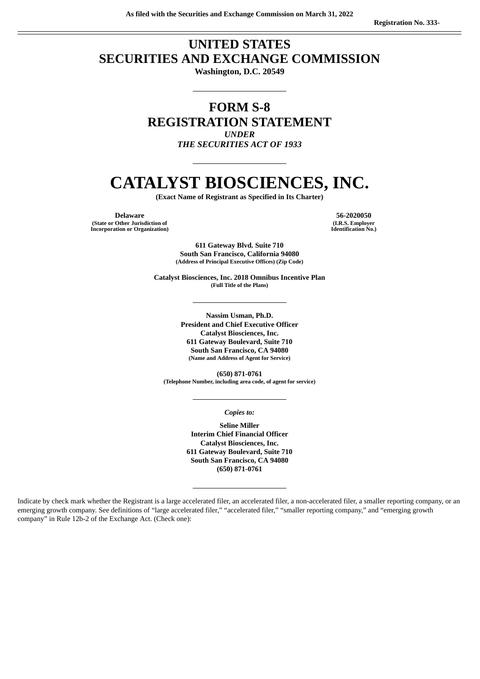# **UNITED STATES SECURITIES AND EXCHANGE COMMISSION**

**Washington, D.C. 20549**

# **FORM S-8 REGISTRATION STATEMENT** *UNDER*

*THE SECURITIES ACT OF 1933*

# **CATALYST BIOSCIENCES, INC.**

**(Exact Name of Registrant as Specified in Its Charter)**

**Delaware 56-2020050 (State or Other Jurisdiction of Incorporation or Organization)**

**(I.R.S. Employer Identification No.)**

**611 Gateway Blvd. Suite 710 South San Francisco, California 94080 (Address of Principal Executive Offices) (Zip Code)**

**Catalyst Biosciences, Inc. 2018 Omnibus Incentive Plan (Full Title of the Plans)**

> **Nassim Usman, Ph.D. President and Chief Executive Officer Catalyst Biosciences, Inc. 611 Gateway Boulevard, Suite 710 South San Francisco, CA 94080 (Name and Address of Agent for Service)**

**(650) 871-0761 (Telephone Number, including area code, of agent for service)**

*Copies to:*

**Seline Miller Interim Chief Financial Officer Catalyst Biosciences, Inc. 611 Gateway Boulevard, Suite 710 South San Francisco, CA 94080 (650) 871-0761**

Indicate by check mark whether the Registrant is a large accelerated filer, an accelerated filer, a non-accelerated filer, a smaller reporting company, or an emerging growth company. See definitions of "large accelerated filer," "accelerated filer," "smaller reporting company," and "emerging growth company" in Rule 12b-2 of the Exchange Act. (Check one):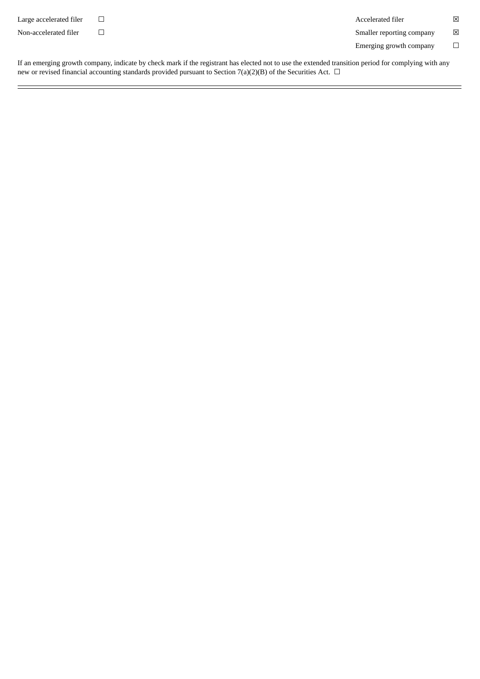Large accelerated filer ☐ Accelerated filer ☒

Non-accelerated filer ☐ Smaller reporting company ☒

Emerging growth company  $\hfill \Box$ 

If an emerging growth company, indicate by check mark if the registrant has elected not to use the extended transition period for complying with any new or revised financial accounting standards provided pursuant to Section 7(a)(2)(B) of the Securities Act.  $\Box$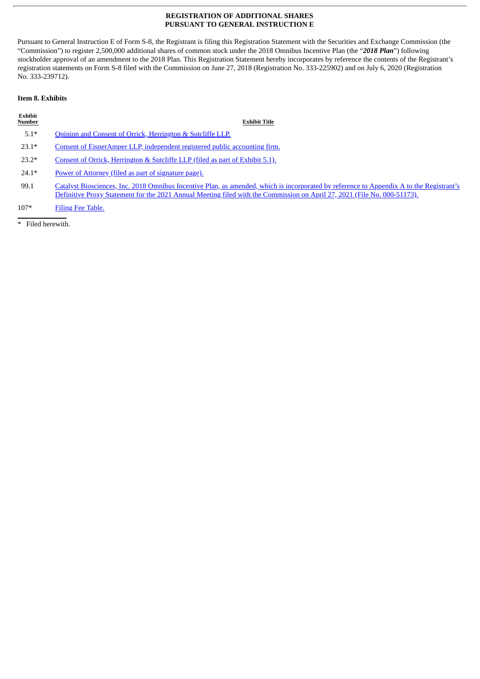# **REGISTRATION OF ADDITIONAL SHARES PURSUANT TO GENERAL INSTRUCTION E**

Pursuant to General Instruction E of Form S-8, the Registrant is filing this Registration Statement with the Securities and Exchange Commission (the "Commission") to register 2,500,000 additional shares of common stock under the 2018 Omnibus Incentive Plan (the "*2018 Plan*") following stockholder approval of an amendment to the 2018 Plan. This Registration Statement hereby incorporates by reference the contents of the Registrant's registration statements on Form S-8 filed with the Commission on June 27, 2018 (Registration No. 333-225902) and on July 6, 2020 (Registration No. 333-239712).

# **Item 8. Exhibits**

| Exhibit<br>Number | <b>Exhibit Title</b>                                                                                                                                                                                                                                                 |
|-------------------|----------------------------------------------------------------------------------------------------------------------------------------------------------------------------------------------------------------------------------------------------------------------|
| $5.1*$            | Opinion and Consent of Orrick, Herrington & Sutcliffe LLP.                                                                                                                                                                                                           |
| $23.1*$           | Consent of EisnerAmper LLP, independent registered public accounting firm.                                                                                                                                                                                           |
| $23.2*$           | Consent of Orrick, Herrington & Sutcliffe LLP (filed as part of Exhibit 5.1).                                                                                                                                                                                        |
| $24.1*$           | Power of Attorney (filed as part of signature page).                                                                                                                                                                                                                 |
| 99.1              | Catalyst Biosciences, Inc. 2018 Omnibus Incentive Plan, as amended, which is incorporated by reference to Appendix A to the Registrant's<br>Definitive Proxy Statement for the 2021 Annual Meeting filed with the Commission on April 27, 2021 (File No. 000-51173). |
|                   |                                                                                                                                                                                                                                                                      |

107\* Filing Fee [Table.](#page-8-0)

\* Filed herewith.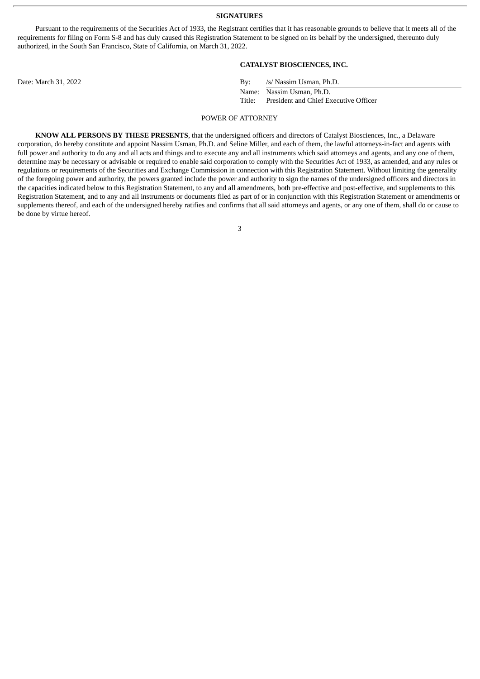#### **SIGNATURES**

<span id="page-3-0"></span>Pursuant to the requirements of the Securities Act of 1933, the Registrant certifies that it has reasonable grounds to believe that it meets all of the requirements for filing on Form S-8 and has duly caused this Registration Statement to be signed on its behalf by the undersigned, thereunto duly authorized, in the South San Francisco, State of California, on March 31, 2022.

## **CATALYST BIOSCIENCES, INC.**

Date: March 31, 2022 By: /s/ Nassim Usman, Ph.D. Name: Nassim Usman, Ph.D.

Title: President and Chief Executive Officer

#### POWER OF ATTORNEY

**KNOW ALL PERSONS BY THESE PRESENTS**, that the undersigned officers and directors of Catalyst Biosciences, Inc., a Delaware corporation, do hereby constitute and appoint Nassim Usman, Ph.D. and Seline Miller, and each of them, the lawful attorneys-in-fact and agents with full power and authority to do any and all acts and things and to execute any and all instruments which said attorneys and agents, and any one of them, determine may be necessary or advisable or required to enable said corporation to comply with the Securities Act of 1933, as amended, and any rules or regulations or requirements of the Securities and Exchange Commission in connection with this Registration Statement. Without limiting the generality of the foregoing power and authority, the powers granted include the power and authority to sign the names of the undersigned officers and directors in the capacities indicated below to this Registration Statement, to any and all amendments, both pre-effective and post-effective, and supplements to this Registration Statement, and to any and all instruments or documents filed as part of or in conjunction with this Registration Statement or amendments or supplements thereof, and each of the undersigned hereby ratifies and confirms that all said attorneys and agents, or any one of them, shall do or cause to be done by virtue hereof.

3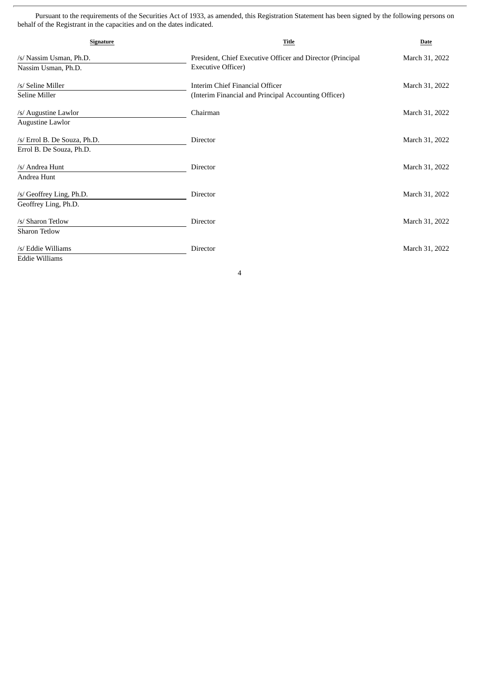Pursuant to the requirements of the Securities Act of 1933, as amended, this Registration Statement has been signed by the following persons on behalf of the Registrant in the capacities and on the dates indicated.

| <b>Signature</b>             | <b>Title</b>                                               | <b>Date</b>    |
|------------------------------|------------------------------------------------------------|----------------|
| /s/ Nassim Usman, Ph.D.      | President, Chief Executive Officer and Director (Principal | March 31, 2022 |
| Nassim Usman, Ph.D.          | <b>Executive Officer)</b>                                  |                |
| /s/ Seline Miller            | Interim Chief Financial Officer                            | March 31, 2022 |
| Seline Miller                | (Interim Financial and Principal Accounting Officer)       |                |
| /s/ Augustine Lawlor         | Chairman                                                   | March 31, 2022 |
| <b>Augustine Lawlor</b>      |                                                            |                |
| /s/ Errol B. De Souza, Ph.D. | <b>Director</b>                                            | March 31, 2022 |
| Errol B. De Souza, Ph.D.     |                                                            |                |
| /s/ Andrea Hunt              | <b>Director</b>                                            | March 31, 2022 |
| Andrea Hunt                  |                                                            |                |
| /s/ Geoffrey Ling, Ph.D.     | <b>Director</b>                                            | March 31, 2022 |
| Geoffrey Ling, Ph.D.         |                                                            |                |
| /s/ Sharon Tetlow            | <b>Director</b>                                            | March 31, 2022 |
| <b>Sharon Tetlow</b>         |                                                            |                |
| /s/ Eddie Williams           | Director                                                   | March 31, 2022 |
| <b>Eddie Williams</b>        |                                                            |                |

4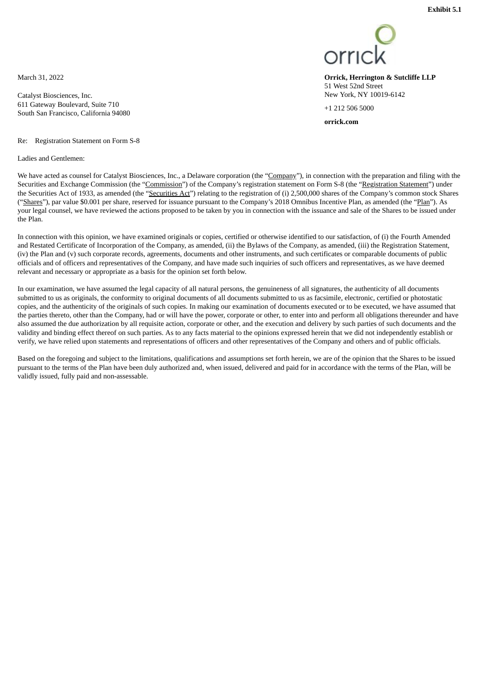<span id="page-5-0"></span>March 31, 2022

Catalyst Biosciences, Inc. 611 Gateway Boulevard, Suite 710 South San Francisco, California 94080

Re: Registration Statement on Form S-8

Ladies and Gentlemen:



**Orrick, Herrington & Sutcliffe LLP** 51 West 52nd Street New York, NY 10019-6142

+1 212 506 5000

**orrick.com**

We have acted as counsel for Catalyst Biosciences, Inc., a Delaware corporation (the "Company"), in connection with the preparation and filing with the Securities and Exchange Commission (the "Commission") of the Company's registration statement on Form S-8 (the "Registration Statement") under the Securities Act of 1933, as amended (the "Securities Act") relating to the registration of (i) 2,500,000 shares of the Company's common stock Shares ("Shares"), par value \$0.001 per share, reserved for issuance pursuant to the Company's 2018 Omnibus Incentive Plan, as amended (the "Plan"). As your legal counsel, we have reviewed the actions proposed to be taken by you in connection with the issuance and sale of the Shares to be issued under the Plan.

In connection with this opinion, we have examined originals or copies, certified or otherwise identified to our satisfaction, of (i) the Fourth Amended and Restated Certificate of Incorporation of the Company, as amended, (ii) the Bylaws of the Company, as amended, (iii) the Registration Statement, (iv) the Plan and (v) such corporate records, agreements, documents and other instruments, and such certificates or comparable documents of public officials and of officers and representatives of the Company, and have made such inquiries of such officers and representatives, as we have deemed relevant and necessary or appropriate as a basis for the opinion set forth below.

In our examination, we have assumed the legal capacity of all natural persons, the genuineness of all signatures, the authenticity of all documents submitted to us as originals, the conformity to original documents of all documents submitted to us as facsimile, electronic, certified or photostatic copies, and the authenticity of the originals of such copies. In making our examination of documents executed or to be executed, we have assumed that the parties thereto, other than the Company, had or will have the power, corporate or other, to enter into and perform all obligations thereunder and have also assumed the due authorization by all requisite action, corporate or other, and the execution and delivery by such parties of such documents and the validity and binding effect thereof on such parties. As to any facts material to the opinions expressed herein that we did not independently establish or verify, we have relied upon statements and representations of officers and other representatives of the Company and others and of public officials.

Based on the foregoing and subject to the limitations, qualifications and assumptions set forth herein, we are of the opinion that the Shares to be issued pursuant to the terms of the Plan have been duly authorized and, when issued, delivered and paid for in accordance with the terms of the Plan, will be validly issued, fully paid and non-assessable.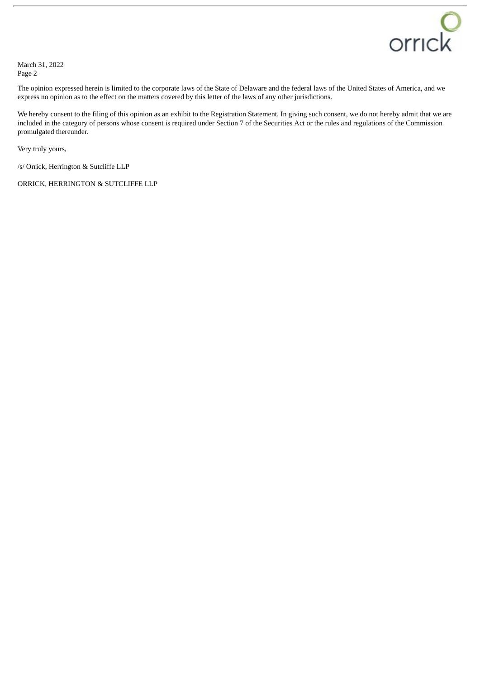

March 31, 2022 Page 2

The opinion expressed herein is limited to the corporate laws of the State of Delaware and the federal laws of the United States of America, and we express no opinion as to the effect on the matters covered by this letter of the laws of any other jurisdictions.

We hereby consent to the filing of this opinion as an exhibit to the Registration Statement. In giving such consent, we do not hereby admit that we are included in the category of persons whose consent is required under Section 7 of the Securities Act or the rules and regulations of the Commission promulgated thereunder.

Very truly yours,

/s/ Orrick, Herrington & Sutcliffe LLP

ORRICK, HERRINGTON & SUTCLIFFE LLP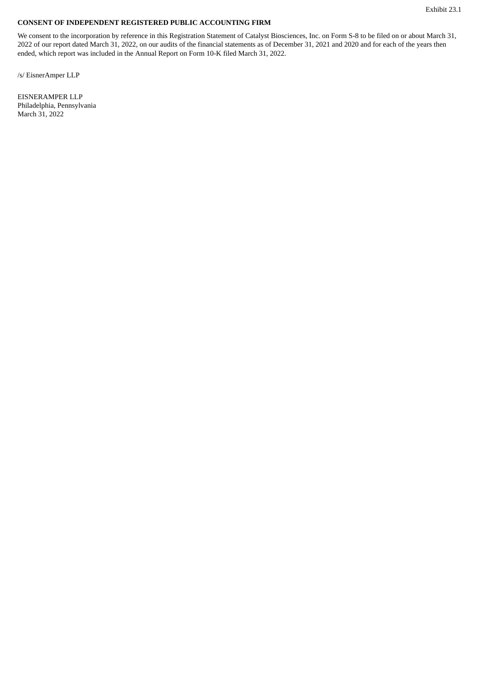# <span id="page-7-0"></span>**CONSENT OF INDEPENDENT REGISTERED PUBLIC ACCOUNTING FIRM**

We consent to the incorporation by reference in this Registration Statement of Catalyst Biosciences, Inc. on Form S-8 to be filed on or about March 31, 2022 of our report dated March 31, 2022, on our audits of the financial statements as of December 31, 2021 and 2020 and for each of the years then ended, which report was included in the Annual Report on Form 10-K filed March 31, 2022.

/s/ EisnerAmper LLP

EISNERAMPER LLP Philadelphia, Pennsylvania March 31, 2022